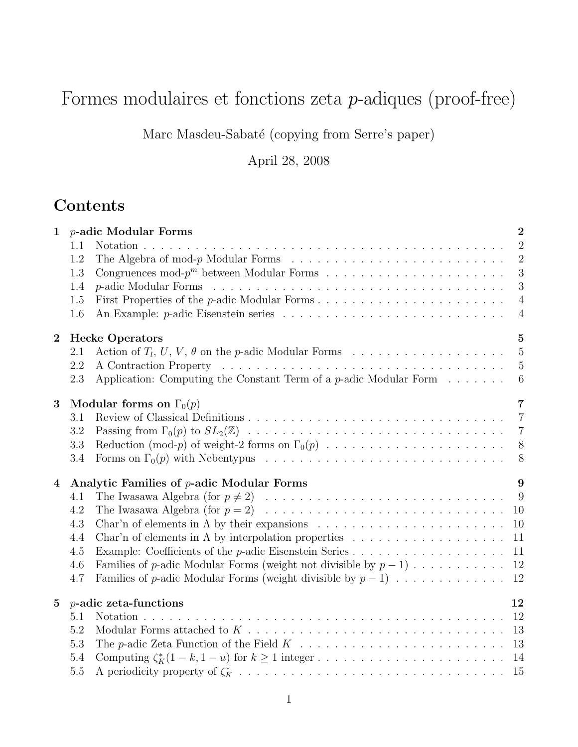# Formes modulaires et fonctions zeta p-adiques (proof-free)

Marc Masdeu-Sabaté (copying from Serre's paper)

April 28, 2008

# Contents

| $\mathbf{1}$     | 1.1<br>1.2                               | <i>p</i> -adic Modular Forms<br>$\overline{2}$<br>$\overline{2}$<br>The Algebra of mod- $p$ Modular Forms $\ldots \ldots \ldots \ldots \ldots \ldots \ldots \ldots \ldots$<br>$\overline{2}$ |  |
|------------------|------------------------------------------|----------------------------------------------------------------------------------------------------------------------------------------------------------------------------------------------|--|
|                  | 1.3                                      | 3                                                                                                                                                                                            |  |
|                  | 1.4                                      | 3                                                                                                                                                                                            |  |
|                  | 1.5                                      | First Properties of the <i>p</i> -adic Modular Forms<br>$\overline{4}$                                                                                                                       |  |
|                  | 1.6                                      | $\overline{4}$                                                                                                                                                                               |  |
| $\boldsymbol{2}$ | <b>Hecke Operators</b><br>$\overline{5}$ |                                                                                                                                                                                              |  |
|                  | 2.1                                      | $\overline{5}$                                                                                                                                                                               |  |
|                  | 2.2                                      | $\overline{5}$                                                                                                                                                                               |  |
|                  | 2.3                                      | Application: Computing the Constant Term of a $p$ -adic Modular Form $\dots \dots$<br>$6\phantom{.}6$                                                                                        |  |
|                  |                                          | $\overline{7}$                                                                                                                                                                               |  |
| 3                | 3.1                                      | Modular forms on $\Gamma_0(p)$                                                                                                                                                               |  |
|                  | 3.2                                      | $\overline{7}$<br>$\overline{7}$                                                                                                                                                             |  |
|                  | 3.3                                      | 8                                                                                                                                                                                            |  |
|                  | 3.4                                      | 8                                                                                                                                                                                            |  |
|                  |                                          |                                                                                                                                                                                              |  |
| $\overline{4}$   |                                          | Analytic Families of <i>p</i> -adic Modular Forms<br>9                                                                                                                                       |  |
|                  | 4.1                                      | - 9                                                                                                                                                                                          |  |
|                  | 4.2                                      | 10                                                                                                                                                                                           |  |
|                  | 4.3                                      | 10                                                                                                                                                                                           |  |
|                  | 4.4                                      | 11                                                                                                                                                                                           |  |
|                  | 4.5                                      | 11                                                                                                                                                                                           |  |
|                  | 4.6                                      | Families of p-adic Modular Forms (weight not divisible by $p-1$ )<br>12                                                                                                                      |  |
|                  | 4.7                                      | Families of p-adic Modular Forms (weight divisible by $p-1$ )<br>12                                                                                                                          |  |
| $\bf{5}$         |                                          | $p$ -adic zeta-functions<br>12                                                                                                                                                               |  |
|                  | 5.1                                      |                                                                                                                                                                                              |  |
|                  | 5.2                                      | 13                                                                                                                                                                                           |  |
|                  | 5.3                                      | 13                                                                                                                                                                                           |  |
|                  | 5.4                                      |                                                                                                                                                                                              |  |
|                  | $5.5\,$                                  |                                                                                                                                                                                              |  |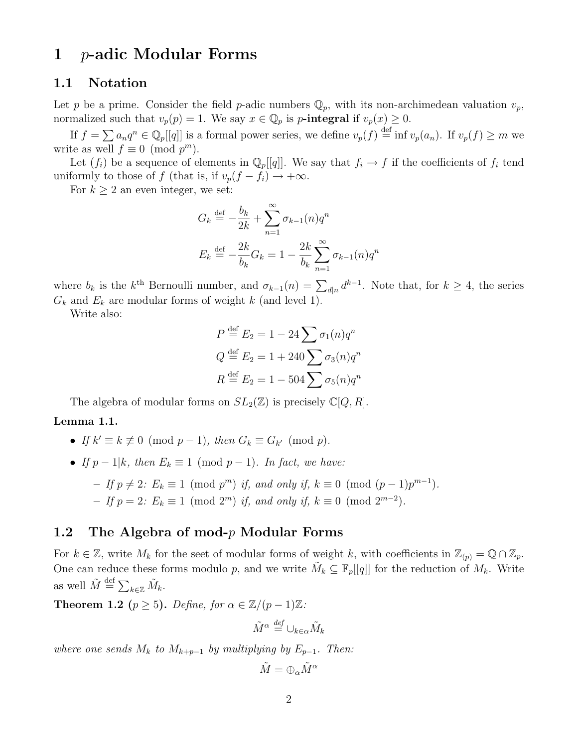# 1 p-adic Modular Forms

#### 1.1 Notation

Let p be a prime. Consider the field p-adic numbers  $\mathbb{Q}_p$ , with its non-archimedean valuation  $v_p$ , normalized such that  $v_p(p) = 1$ . We say  $x \in \mathbb{Q}_p$  is p-integral if  $v_p(x) \geq 0$ .

If  $f = \sum a_n q^n \in \mathbb{Q}_p[[q]]$  is a formal power series, we define  $v_p(f) \stackrel{\text{def}}{=} \inf v_p(a_n)$ . If  $v_p(f) \ge m$  we write as well  $f \equiv 0 \pmod{p^m}$ .

Let  $(f_i)$  be a sequence of elements in  $\mathbb{Q}_p[[q]]$ . We say that  $f_i \to f$  if the coefficients of  $f_i$  tend uniformly to those of f (that is, if  $v_p(f - f_i) \rightarrow +\infty$ .

For  $k \geq 2$  an even integer, we set:

$$
G_k \stackrel{\text{def}}{=} -\frac{b_k}{2k} + \sum_{n=1}^{\infty} \sigma_{k-1}(n) q^n
$$

$$
E_k \stackrel{\text{def}}{=} -\frac{2k}{b_k} G_k = 1 - \frac{2k}{b_k} \sum_{n=1}^{\infty} \sigma_{k-1}(n) q^n
$$

where  $b_k$  is the  $k^{\text{th}}$  Bernoulli number, and  $\sigma_{k-1}(n) = \sum_{d|n} d^{k-1}$ . Note that, for  $k \geq 4$ , the series  $G_k$  and  $E_k$  are modular forms of weight k (and level 1).

Write also:

$$
P \stackrel{\text{def}}{=} E_2 = 1 - 24 \sum \sigma_1(n) q^n
$$
  

$$
Q \stackrel{\text{def}}{=} E_2 = 1 + 240 \sum \sigma_3(n) q^n
$$
  

$$
R \stackrel{\text{def}}{=} E_2 = 1 - 504 \sum \sigma_5(n) q^n
$$

The algebra of modular forms on  $SL_2(\mathbb{Z})$  is precisely  $\mathbb{C}[Q, R]$ .

#### Lemma 1.1.

- If  $k' \equiv k \not\equiv 0 \pmod{p-1}$ , then  $G_k \equiv G_{k'} \pmod{p}$ .
- If  $p-1|k$ , then  $E_k \equiv 1 \pmod{p-1}$ . In fact, we have:
	- If  $p \neq 2$ :  $E_k \equiv 1 \pmod{p^m}$  if, and only if,  $k \equiv 0 \pmod{(p-1)p^{m-1}}$ .  $−$  If  $p = 2$ :  $E_k \equiv 1 \pmod{2^m}$  if, and only if,  $k \equiv 0 \pmod{2^{m-2}}$ .

#### 1.2 The Algebra of mod- $p$  Modular Forms

For  $k \in \mathbb{Z}$ , write  $M_k$  for the seet of modular forms of weight k, with coefficients in  $\mathbb{Z}_{(p)} = \mathbb{Q} \cap \mathbb{Z}_p$ . One can reduce these forms modulo p, and we write  $\tilde{M}_k \subseteq \mathbb{F}_p[[q]]$  for the reduction of  $M_k$ . Write as well  $\tilde{M} \stackrel{\text{def}}{=} \sum_{k \in \mathbb{Z}} \tilde{M}_k$ .

**Theorem 1.2** ( $p \ge 5$ ). Define, for  $\alpha \in \mathbb{Z}/(p-1)\mathbb{Z}$ :

$$
\tilde{M}^{\alpha} \stackrel{\mathrm{def}}{=} \cup_{k \in \alpha} \tilde{M}_k
$$

where one sends  $M_k$  to  $M_{k+p-1}$  by multiplying by  $E_{p-1}$ . Then:

$$
\tilde{M}=\oplus_{\alpha}\tilde{M}^{\alpha}
$$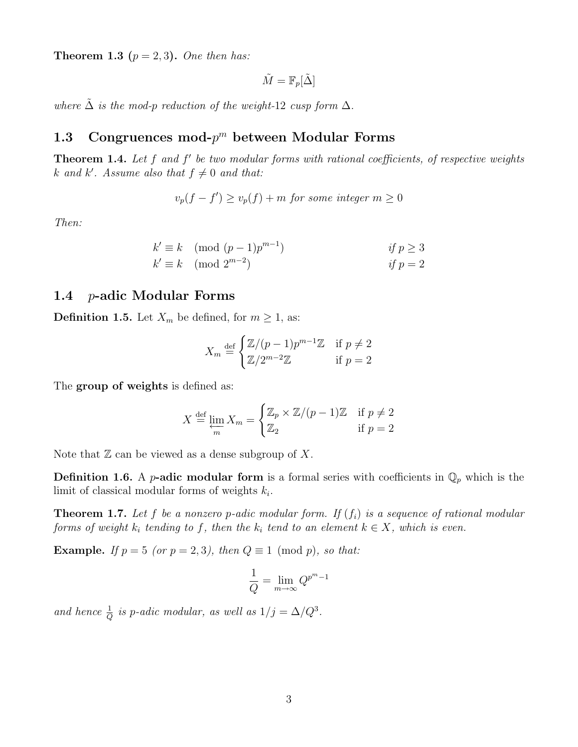**Theorem 1.3** ( $p = 2, 3$ ). One then has:

$$
\tilde{M} = \mathbb{F}_p[\tilde{\Delta}]
$$

where  $\Delta$  is the mod-p reduction of the weight-12 cusp form  $\Delta$ .

# 1.3 Congruences mod- $p^m$  between Modular Forms

**Theorem 1.4.** Let  $f$  and  $f'$  be two modular forms with rational coefficients, of respective weights k and k'. Assume also that  $f \neq 0$  and that:

$$
v_p(f - f') \ge v_p(f) + m \text{ for some integer } m \ge 0
$$

Then:

$$
k' \equiv k \pmod{(p-1)p^{m-1}}
$$
  
\n
$$
k' \equiv k \pmod{2^{m-2}}
$$
  
\nif  $p \ge 3$   
\nif  $p = 2$ 

### 1.4 p-adic Modular Forms

**Definition 1.5.** Let  $X_m$  be defined, for  $m \geq 1$ , as:

$$
X_m \stackrel{\text{def}}{=} \begin{cases} \mathbb{Z}/(p-1)p^{m-1}\mathbb{Z} & \text{if } p \neq 2\\ \mathbb{Z}/2^{m-2}\mathbb{Z} & \text{if } p = 2 \end{cases}
$$

The group of weights is defined as:

$$
X \stackrel{\text{def}}{=} \varprojlim_{m} X_{m} = \begin{cases} \mathbb{Z}_{p} \times \mathbb{Z}/(p-1)\mathbb{Z} & \text{if } p \neq 2\\ \mathbb{Z}_{2} & \text{if } p = 2 \end{cases}
$$

Note that  $\mathbb Z$  can be viewed as a dense subgroup of X.

**Definition 1.6.** A *p*-adic modular form is a formal series with coefficients in  $\mathbb{Q}_p$  which is the limit of classical modular forms of weights  $k_i$ .

**Theorem 1.7.** Let f be a nonzero p-adic modular form. If  $(f_i)$  is a sequence of rational modular forms of weight  $k_i$  tending to f, then the  $k_i$  tend to an element  $k \in X$ , which is even.

**Example.** If  $p = 5$  (or  $p = 2, 3$ ), then  $Q \equiv 1 \pmod{p}$ , so that:

$$
\frac{1}{Q} = \lim_{m \to \infty} Q^{p^m - 1}
$$

and hence  $\frac{1}{Q}$  is p-adic modular, as well as  $1/j = \Delta/Q^3$ .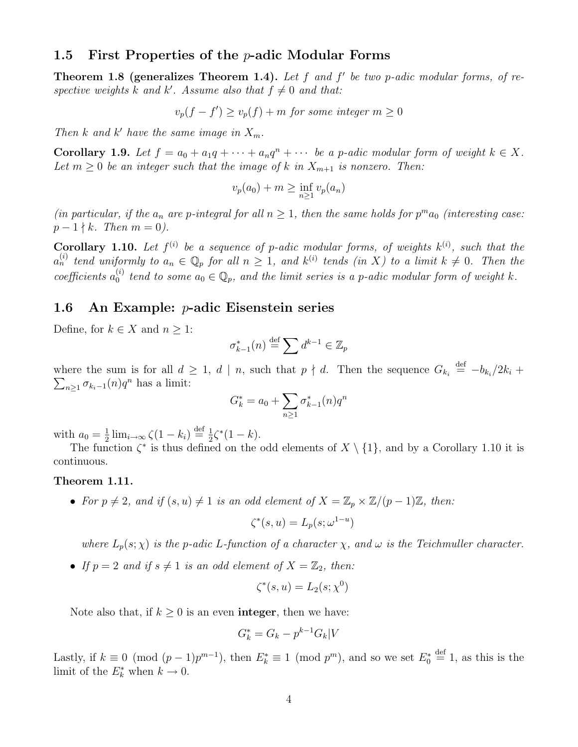#### 1.5 First Properties of the  $p$ -adic Modular Forms

**Theorem 1.8 (generalizes Theorem 1.4).** Let  $f$  and  $f'$  be two p-adic modular forms, of respective weights k and k'. Assume also that  $f \neq 0$  and that:

$$
v_p(f - f') \ge v_p(f) + m \text{ for some integer } m \ge 0
$$

Then  $k$  and  $k'$  have the same image in  $X_m$ .

**Corollary 1.9.** Let  $f = a_0 + a_1q + \cdots + a_nq^n + \cdots$  be a p-adic modular form of weight  $k \in X$ . Let  $m \geq 0$  be an integer such that the image of k in  $X_{m+1}$  is nonzero. Then:

$$
v_p(a_0) + m \ge \inf_{n \ge 1} v_p(a_n)
$$

(in particular, if the  $a_n$  are p-integral for all  $n \geq 1$ , then the same holds for  $p^m a_0$  (interesting case:  $p - 1 \nmid k$ . Then  $m = 0$ ).

**Corollary 1.10.** Let  $f^{(i)}$  be a sequence of p-adic modular forms, of weights  $k^{(i)}$ , such that the  $a_n^{(i)}$  tend uniformly to  $a_n \in \mathbb{Q}_p$  for all  $n \geq 1$ , and  $k^{(i)}$  tends (in X) to a limit  $k \neq 0$ . Then the coefficients  $a_0^{(i)}$  $a_0^{(i)}$  tend to some  $a_0 \in \mathbb{Q}_p$ , and the limit series is a p-adic modular form of weight k.

#### 1.6 An Example: p-adic Eisenstein series

Define, for  $k \in X$  and  $n \geq 1$ :

$$
\sigma_{k-1}^*(n) \stackrel{\text{def}}{=} \sum d^{k-1} \in \mathbb{Z}_p
$$

where the sum is for all  $d \geq 1$ ,  $d \mid n$ , such that  $p \nmid d$ . Then the sequence  $G_{k_i} \stackrel{\text{def}}{=} -b_{k_i}/2k_i +$  $\sum_{n\geq 1} \sigma_{k_i-1}(n) q^n$  has a limit:

$$
G_k^* = a_0 + \sum_{n \ge 1} \sigma_{k-1}^*(n) q^n
$$

with  $a_0 = \frac{1}{2}$  $\frac{1}{2}$   $\lim_{i\to\infty} \zeta(1-k_i) \stackrel{\text{def}}{=} \frac{1}{2}$  $\frac{1}{2}\zeta^*(1-k).$ 

The function  $\zeta^*$  is thus defined on the odd elements of  $X \setminus \{1\}$ , and by a Corollary 1.10 it is continuous.

#### Theorem 1.11.

• For  $p \neq 2$ , and if  $(s, u) \neq 1$  is an odd element of  $X = \mathbb{Z}_p \times \mathbb{Z}/(p-1)\mathbb{Z}$ , then:

$$
\zeta^*(s, u) = L_p(s; \omega^{1-u})
$$

where  $L_p(s; \chi)$  is the p-adic L-function of a character  $\chi$ , and  $\omega$  is the Teichmuller character.

• If  $p = 2$  and if  $s \neq 1$  is an odd element of  $X = \mathbb{Z}_2$ , then:

$$
\zeta^*(s, u) = L_2(s; \chi^0)
$$

Note also that, if  $k \geq 0$  is an even **integer**, then we have:

$$
G_k^* = G_k - p^{k-1} G_k | V
$$

Lastly, if  $k \equiv 0 \pmod{(p-1)p^{m-1}}$ , then  $E_k^* \equiv 1 \pmod{p^m}$ , and so we set  $E_0^* \stackrel{\text{def}}{=} 1$ , as this is the limit of the  $E_k^*$  when  $k \to 0$ .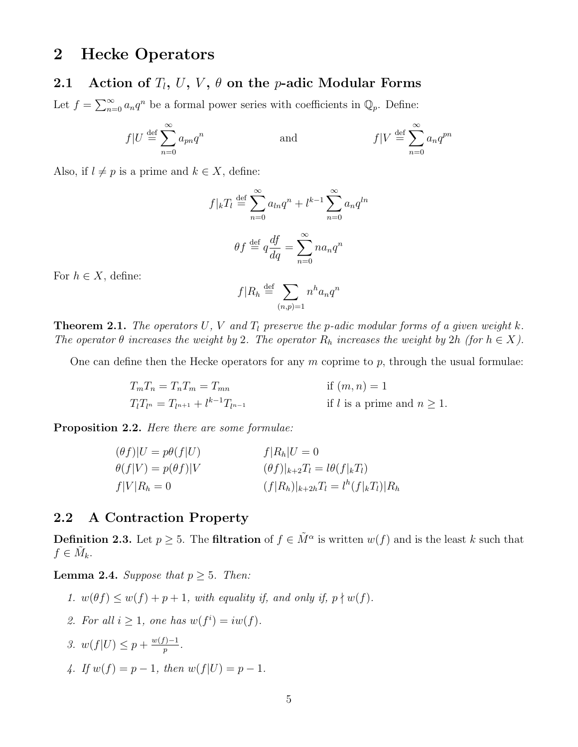# 2 Hecke Operators

### 2.1 Action of  $T_l$ ,  $U$ ,  $V$ ,  $\theta$  on the *p*-adic Modular Forms

Let  $f = \sum_{n=0}^{\infty} a_n q^n$  be a formal power series with coefficients in  $\mathbb{Q}_p$ . Define:

$$
f|U \stackrel{\text{def}}{=} \sum_{n=0}^{\infty} a_{pn} q^n \qquad \text{and} \qquad f|V \stackrel{\text{def}}{=} \sum_{n=0}^{\infty} a_n q^{pn}
$$

Also, if  $l \neq p$  is a prime and  $k \in X$ , define:

$$
f|_{k}T_{l} \stackrel{\text{def}}{=} \sum_{n=0}^{\infty} a_{ln}q^{n} + l^{k-1} \sum_{n=0}^{\infty} a_{n}q^{ln}
$$

$$
\theta f \stackrel{\text{def}}{=} q \frac{df}{dq} = \sum_{n=0}^{\infty} n a_{n}q^{n}
$$

For  $h \in X$ , define:

$$
f|R_h \stackrel{\text{def}}{=} \sum_{(n,p)=1} n^h a_n q^n
$$

**Theorem 2.1.** The operators U, V and  $T_l$  preserve the p-adic modular forms of a given weight k. The operator  $\theta$  increases the weight by 2. The operator  $R_h$  increases the weight by 2h (for  $h \in X$ ).

One can define then the Hecke operators for any  $m$  coprime to  $p$ , through the usual formulae:

$$
T_m T_n = T_n T_m = T_{mn}
$$
 if  $(m, n) = 1$   
\n
$$
T_l T_{l^n} = T_{l^{n+1}} + l^{k-1} T_{l^{n-1}}
$$
 if  $l$  is a prime and  $n \ge 1$ .

Proposition 2.2. Here there are some formulae:

$$
(\theta f)|U = p\theta(f|U) \qquad f|R_h|U = 0
$$
  
\n
$$
\theta(f|V) = p(\theta f)|V \qquad (\theta f)|_{k+2}T_l = l\theta(f|_{k}T_l)
$$
  
\n
$$
f|V|R_h = 0 \qquad (f|R_h)|_{k+2h}T_l = l^h(f|_{k}T_l)|R_h
$$

### 2.2 A Contraction Property

**Definition 2.3.** Let  $p \ge 5$ . The **filtration** of  $f \in \tilde{M}^{\alpha}$  is written  $w(f)$  and is the least k such that  $f \in \tilde{M}_k$ .

**Lemma 2.4.** Suppose that  $p \geq 5$ . Then:

- 1.  $w(\theta f) \leq w(f) + p + 1$ , with equality if, and only if,  $p \nmid w(f)$ .
- 2. For all  $i \geq 1$ , one has  $w(f^i) = iw(f)$ .
- 3.  $w(f|U) \leq p + \frac{w(f)-1}{p}$  $\frac{p-1}{p}$ .
- 4. If  $w(f) = p 1$ , then  $w(f|U) = p 1$ .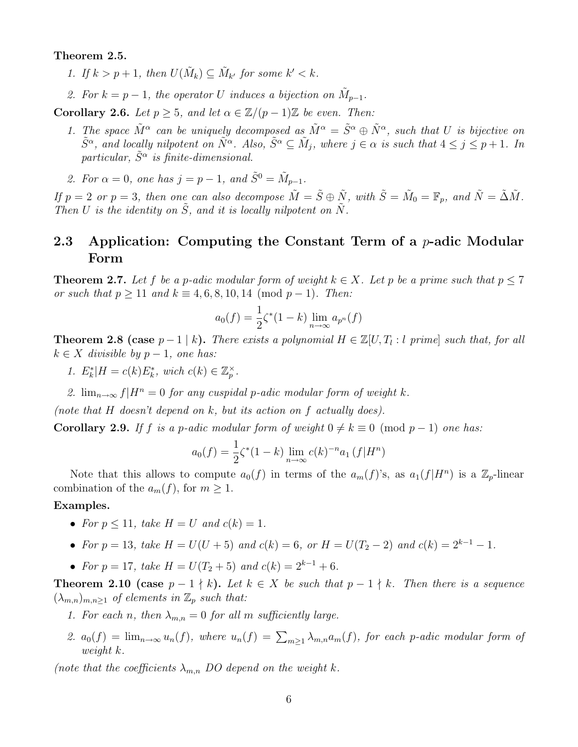Theorem 2.5.

- 1. If  $k > p + 1$ , then  $U(\tilde{M}_k) \subseteq \tilde{M}_{k'}$  for some  $k' < k$ .
- 2. For  $k = p 1$ , the operator U induces a bijection on  $\tilde{M}_{p-1}$ .

**Corollary 2.6.** Let  $p \geq 5$ , and let  $\alpha \in \mathbb{Z}/(p-1)\mathbb{Z}$  be even. Then:

- 1. The space  $\tilde{M}^{\alpha}$  can be uniquely decomposed as  $\tilde{M}^{\alpha} = \tilde{S}^{\alpha} \oplus \tilde{N}^{\alpha}$ , such that U is bijective on  $\tilde{S}^{\alpha}$ , and locally nilpotent on  $\tilde{N}^{\alpha}$ . Also,  $\tilde{S}^{\alpha} \subseteq \tilde{M}_j$ , where  $j \in \alpha$  is such that  $4 \leq j \leq p+1$ . In particular,  $\tilde{S}^{\alpha}$  is finite-dimensional.
- 2. For  $\alpha = 0$ , one has  $j = p 1$ , and  $\tilde{S}^0 = \tilde{M}_{p-1}$ .

If  $p = 2$  or  $p = 3$ , then one can also decompose  $\tilde{M} = \tilde{S} \oplus \tilde{N}$ , with  $\tilde{S} = \tilde{M}_0 = \mathbb{F}_p$ , and  $\tilde{N} = \tilde{\Delta}\tilde{M}$ . Then U is the identity on  $\tilde{S}$ , and it is locally nilpotent on  $\tilde{N}$ .

## 2.3 Application: Computing the Constant Term of a  $p$ -adic Modular Form

**Theorem 2.7.** Let f be a p-adic modular form of weight  $k \in X$ . Let p be a prime such that  $p \leq 7$ or such that  $p \ge 11$  and  $k \equiv 4, 6, 8, 10, 14 \pmod{p-1}$ . Then:

$$
a_0(f) = \frac{1}{2}\zeta^*(1-k)\lim_{n \to \infty} a_{p^n}(f)
$$

**Theorem 2.8 (case**  $p-1|k$ ). There exists a polynomial  $H \in \mathbb{Z}[U, T_l : l \text{ prime}]$  such that, for all  $k \in X$  divisible by  $p-1$ , one has:

- 1.  $E_k^*$ |H = c(k) $E_k^*$ , wich c(k)  $\in \mathbb{Z}_p^{\times}$ .
- 2.  $\lim_{n\to\infty} f|H^n=0$  for any cuspidal p-adic modular form of weight k.

(note that  $H$  doesn't depend on  $k$ , but its action on  $f$  actually does).

Corollary 2.9. If f is a p-adic modular form of weight  $0 \neq k \equiv 0 \pmod{p-1}$  one has:

$$
a_0(f) = \frac{1}{2}\zeta^*(1-k)\lim_{n\to\infty} c(k)^{-n}a_1(f|H^n)
$$

Note that this allows to compute  $a_0(f)$  in terms of the  $a_m(f)$ 's, as  $a_1(f|H^n)$  is a  $\mathbb{Z}_p$ -linear combination of the  $a_m(f)$ , for  $m \geq 1$ .

#### Examples.

- For  $p \leq 11$ , take  $H = U$  and  $c(k) = 1$ .
- For  $p = 13$ , take  $H = U(U + 5)$  and  $c(k) = 6$ , or  $H = U(T_2 2)$  and  $c(k) = 2^{k-1} 1$ .
- For  $p = 17$ , take  $H = U(T_2 + 5)$  and  $c(k) = 2^{k-1} + 6$ .

**Theorem 2.10 (case**  $p-1 \nmid k$ ). Let  $k \in X$  be such that  $p-1 \nmid k$ . Then there is a sequence  $(\lambda_{m,n})_{m,n\geq 1}$  of elements in  $\mathbb{Z}_p$  such that:

- 1. For each n, then  $\lambda_{m,n} = 0$  for all m sufficiently large.
- 2.  $a_0(f) = \lim_{n \to \infty} u_n(f)$ , where  $u_n(f) = \sum_{m \geq 1} \lambda_{m,n} a_m(f)$ , for each p-adic modular form of weight k.

(note that the coefficients  $\lambda_{m,n}$  DO depend on the weight k.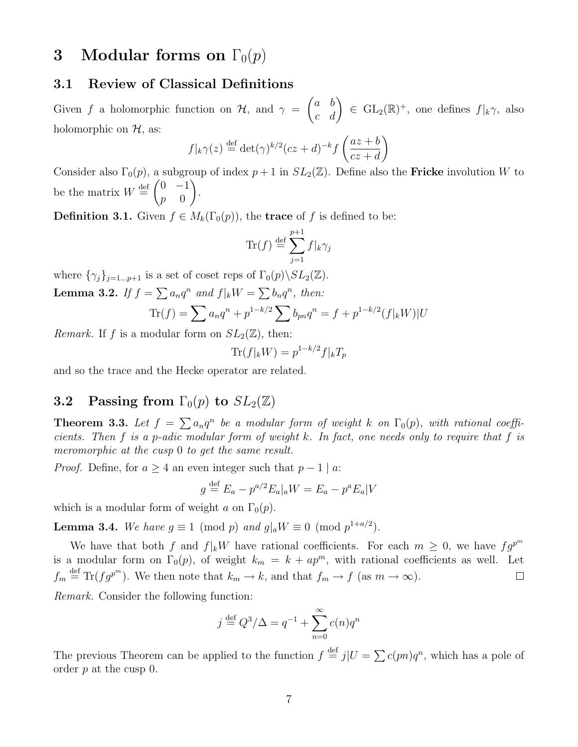# 3 Modular forms on  $\Gamma_0(p)$

### 3.1 Review of Classical Definitions

Given f a holomorphic function on  $\mathcal{H}$ , and  $\gamma =$  $\begin{pmatrix} a & b \\ c & d \end{pmatrix} \in GL_2(\mathbb{R})^+,$  one defines  $f|_k\gamma$ , also holomorphic on  $H$ , as:

$$
f|_{k}\gamma(z) \stackrel{\text{def}}{=} \det(\gamma)^{k/2} (cz+d)^{-k} f\left(\frac{az+b}{cz+d}\right)
$$

Consider also  $\Gamma_0(p)$ , a subgroup of index  $p+1$  in  $SL_2(\mathbb{Z})$ . Define also the **Fricke** involution W to be the matrix  $W \stackrel{\text{def}}{=} \begin{pmatrix} 0 & -1 \\ 0 & 0 \end{pmatrix}$  $p \equiv 0$  $\setminus$ .

**Definition 3.1.** Given  $f \in M_k(\Gamma_0(p))$ , the **trace** of f is defined to be:

$$
\text{Tr}(f) \stackrel{\text{def}}{=} \sum_{j=1}^{p+1} f|_k \gamma_j
$$

where  $\{\gamma_j\}_{j=1...p+1}$  is a set of coset reps of  $\Gamma_0(p)\backslash SL_2(\mathbb{Z})$ . **Lemma 3.2.** If  $f = \sum a_n q^n$  and  $f|_k W = \sum b_n q^n$ , then:

$$
\text{Tr}(f) = \sum a_n q^n + p^{1-k/2} \sum b_{pn} q^n = f + p^{1-k/2} (f|_k W) |U
$$

*Remark.* If f is a modular form on  $SL_2(\mathbb{Z})$ , then:

$$
\text{Tr}(f|_k W) = p^{1-k/2} f|_k T_p
$$

and so the trace and the Hecke operator are related.

### **3.2** Passing from  $\Gamma_0(p)$  to  $SL_2(\mathbb{Z})$

**Theorem 3.3.** Let  $f = \sum a_n q^n$  be a modular form of weight k on  $\Gamma_0(p)$ , with rational coefficients. Then f is a p-adic modular form of weight k. In fact, one needs only to require that f is meromorphic at the cusp 0 to get the same result.

*Proof.* Define, for  $a \geq 4$  an even integer such that  $p - 1 | a$ :

$$
g \stackrel{\text{def}}{=} E_a - p^{a/2} E_a|_a W = E_a - p^a E_a|V
$$

which is a modular form of weight a on  $\Gamma_0(p)$ .

**Lemma 3.4.** We have  $g \equiv 1 \pmod{p}$  and  $g|_a W \equiv 0 \pmod{p^{1+a/2}}$ .

We have that both f and  $f|_kW$  have rational coefficients. For each  $m \geq 0$ , we have  $fg^{p^m}$ is a modular form on  $\Gamma_0(p)$ , of weight  $k_m = k + ap^m$ , with rational coefficients as well. Let  $f_m \stackrel{\text{def}}{=} \text{Tr}(fg^{p^m})$ . We then note that  $k_m \to k$ , and that  $f_m \to f$  (as  $m \to \infty$ ).  $\Box$ 

Remark. Consider the following function:

$$
j \stackrel{\text{def}}{=} Q^3/\Delta = q^{-1} + \sum_{n=0}^{\infty} c(n)q^n
$$

The previous Theorem can be applied to the function  $f \stackrel{\text{def}}{=} j|U = \sum c(pn)q^n$ , which has a pole of order p at the cusp 0.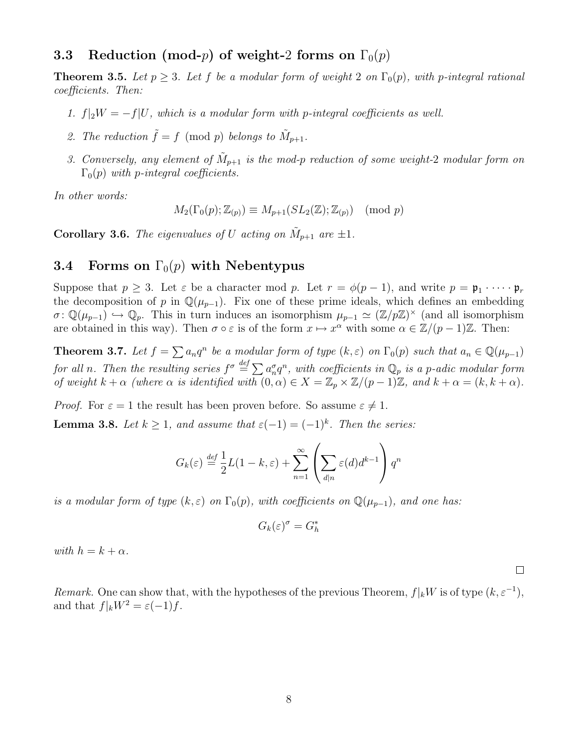### 3.3 Reduction (mod-*p*) of weight-2 forms on  $\Gamma_0(p)$

**Theorem 3.5.** Let  $p \geq 3$ . Let f be a modular form of weight 2 on  $\Gamma_0(p)$ , with p-integral rational coefficients. Then:

- 1.  $f|_2W = -f|U$ , which is a modular form with p-integral coefficients as well.
- 2. The reduction  $\tilde{f} = f \pmod{p}$  belongs to  $\tilde{M}_{p+1}$ .
- 3. Conversely, any element of  $\tilde{M}_{p+1}$  is the mod-p reduction of some weight-2 modular form on  $\Gamma_0(p)$  with p-integral coefficients.

In other words:

$$
M_2(\Gamma_0(p); \mathbb{Z}_{(p)}) \equiv M_{p+1}(SL_2(\mathbb{Z}); \mathbb{Z}_{(p)}) \pmod{p}
$$

**Corollary 3.6.** The eigenvalues of U acting on  $\tilde{M}_{p+1}$  are  $\pm 1$ .

## 3.4 Forms on  $\Gamma_0(p)$  with Nebentypus

Suppose that  $p \geq 3$ . Let  $\varepsilon$  be a character mod p. Let  $r = \phi(p-1)$ , and write  $p = \mathfrak{p}_1 \cdot \cdots \cdot \mathfrak{p}_r$ the decomposition of p in  $\mathbb{Q}(\mu_{p-1})$ . Fix one of these prime ideals, which defines an embedding  $\sigma: \mathbb{Q}(\mu_{p-1}) \hookrightarrow \mathbb{Q}_p$ . This in turn induces an isomorphism  $\mu_{p-1} \simeq (\mathbb{Z}/p\mathbb{Z})^{\times}$  (and all isomorphism are obtained in this way). Then  $\sigma \circ \varepsilon$  is of the form  $x \mapsto x^{\alpha}$  with some  $\alpha \in \mathbb{Z}/(p-1)\mathbb{Z}$ . Then:

**Theorem 3.7.** Let  $f = \sum a_n q^n$  be a modular form of type  $(k, \varepsilon)$  on  $\Gamma_0(p)$  such that  $a_n \in \mathbb{Q}(\mu_{p-1})$ for all n. Then the resulting series  $f^\sigma \stackrel{def}{=} \sum a_n^\sigma q^n$ , with coefficients in  $\mathbb{Q}_p$  is a p-adic modular form of weight  $k + \alpha$  (where  $\alpha$  is identified with  $(0, \alpha) \in X = \mathbb{Z}_p \times \mathbb{Z}/(p-1)\mathbb{Z}$ , and  $k + \alpha = (k, k + \alpha)$ .

*Proof.* For  $\varepsilon = 1$  the result has been proven before. So assume  $\varepsilon \neq 1$ .

**Lemma 3.8.** Let  $k \geq 1$ , and assume that  $\varepsilon(-1) = (-1)^k$ . Then the series:

$$
G_k(\varepsilon) \stackrel{\text{def}}{=} \frac{1}{2}L(1-k,\varepsilon) + \sum_{n=1}^{\infty} \left( \sum_{d|n} \varepsilon(d)d^{k-1} \right) q^n
$$

is a modular form of type  $(k, \varepsilon)$  on  $\Gamma_0(p)$ , with coefficients on  $\mathbb{Q}(\mu_{p-1})$ , and one has:

$$
G_k(\varepsilon)^\sigma=G_h^*
$$

with  $h = k + \alpha$ .

Remark. One can show that, with the hypotheses of the previous Theorem,  $f|_kW$  is of type  $(k, \varepsilon^{-1})$ , and that  $f|_kW^2 = \varepsilon(-1)f$ .

 $\Box$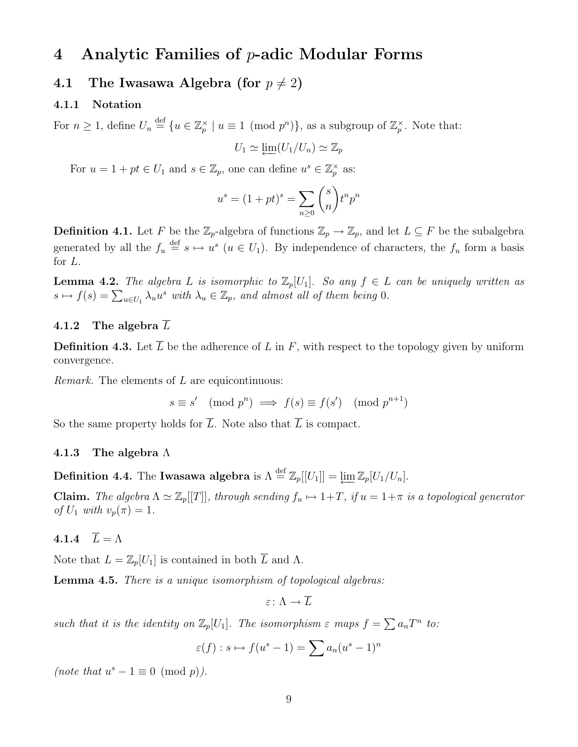# 4 Analytic Families of  $p$ -adic Modular Forms

### 4.1 The Iwasawa Algebra (for  $p \neq 2$ )

#### 4.1.1 Notation

For  $n \geq 1$ , define  $U_n \stackrel{\text{def}}{=} \{u \in \mathbb{Z}_p^{\times} \mid u \equiv 1 \pmod{p^n}\}$ , as a subgroup of  $\mathbb{Z}_p^{\times}$ . Note that:

$$
U_1 \simeq \varprojlim (U_1/U_n) \simeq \mathbb{Z}_p
$$

For  $u = 1 + pt \in U_1$  and  $s \in \mathbb{Z}_p$ , one can define  $u^s \in \mathbb{Z}_p^{\times}$  as:

$$
u^s = (1 + pt)^s = \sum_{n \ge 0} \binom{s}{n} t^n p^n
$$

**Definition 4.1.** Let F be the  $\mathbb{Z}_p$ -algebra of functions  $\mathbb{Z}_p \to \mathbb{Z}_p$ , and let  $L \subseteq F$  be the subalgebra generated by all the  $f_u \stackrel{\text{def}}{=} s \mapsto u^s \ (u \in U_1)$ . By independence of characters, the  $f_u$  form a basis for L.

**Lemma 4.2.** The algebra L is isomorphic to  $\mathbb{Z}_p[U_1]$ . So any  $f \in L$  can be uniquely written as  $s \mapsto f(s) = \sum_{u \in U_1} \lambda_u u^s$  with  $\lambda_u \in \mathbb{Z}_p$ , and almost all of them being 0.

#### 4.1.2 The algebra L

**Definition 4.3.** Let  $\overline{L}$  be the adherence of L in F, with respect to the topology given by uniform convergence.

*Remark.* The elements of  $L$  are equicontinuous:

 $s \equiv s' \pmod{p^n} \implies f(s) \equiv f(s') \pmod{p^{n+1}}$ 

So the same property holds for  $\overline{L}$ . Note also that  $\overline{L}$  is compact.

#### 4.1.3 The algebra  $\Lambda$

**Definition 4.4.** The **Iwasawa algebra** is  $\Lambda \stackrel{\text{def}}{=} \mathbb{Z}_p[[U_1]] = \varprojlim \mathbb{Z}_p[U_1/U_n].$ 

**Claim.** The algebra  $\Lambda \simeq \mathbb{Z}_p[[T]]$ , through sending  $f_u \mapsto 1+T$ , if  $u = 1+\pi$  is a topological generator of  $U_1$  with  $v_p(\pi) = 1$ .

### 4.1.4  $\overline{L} = \Lambda$

Note that  $L = \mathbb{Z}_p[U_1]$  is contained in both  $\overline{L}$  and  $\Lambda$ .

Lemma 4.5. There is a unique isomorphism of topological algebras:

$$
\varepsilon\colon \Lambda\to L
$$

such that it is the identity on  $\mathbb{Z}_p[U_1]$ . The isomorphism  $\varepsilon$  maps  $f = \sum a_nT^n$  to:

$$
\varepsilon(f) : s \mapsto f(u^s - 1) = \sum a_n (u^s - 1)^n
$$

(note that  $u^s - 1 \equiv 0 \pmod{p}$ ).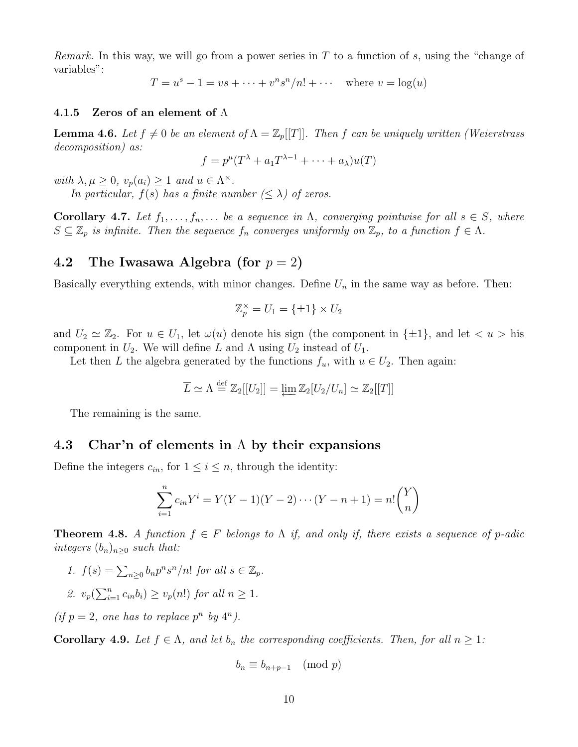*Remark.* In this way, we will go from a power series in T to a function of s, using the "change of variables":

 $T = u^{s} - 1 = vs + \cdots + v^{n} s^{n} / n! + \cdots$  where  $v = \log(u)$ 

#### 4.1.5 Zeros of an element of  $\Lambda$

**Lemma 4.6.** Let  $f \neq 0$  be an element of  $\Lambda = \mathbb{Z}_p[[T]]$ . Then f can be uniquely written (Weierstrass decomposition) as:

$$
f = p^{\mu}(T^{\lambda} + a_1 T^{\lambda - 1} + \dots + a_{\lambda})u(T)
$$

with  $\lambda, \mu \geq 0$ ,  $v_p(a_i) \geq 1$  and  $u \in \Lambda^\times$ .

In particular,  $f(s)$  has a finite number  $(\leq \lambda)$  of zeros.

**Corollary 4.7.** Let  $f_1, \ldots, f_n, \ldots$  be a sequence in  $\Lambda$ , converging pointwise for all  $s \in S$ , where  $S \subseteq \mathbb{Z}_p$  is infinite. Then the sequence  $f_n$  converges uniformly on  $\mathbb{Z}_p$ , to a function  $f \in \Lambda$ .

### 4.2 The Iwasawa Algebra (for  $p = 2$ )

Basically everything extends, with minor changes. Define  $U_n$  in the same way as before. Then:

$$
\mathbb{Z}_p^{\times} = U_1 = \{\pm 1\} \times U_2
$$

and  $U_2 \simeq \mathbb{Z}_2$ . For  $u \in U_1$ , let  $\omega(u)$  denote his sign (the component in  $\{\pm 1\}$ , and let  $\langle u \rangle$  his component in  $U_2$ . We will define L and  $\Lambda$  using  $U_2$  instead of  $U_1$ .

Let then L the algebra generated by the functions  $f_u$ , with  $u \in U_2$ . Then again:

$$
\overline{L} \simeq \Lambda \stackrel{\text{def}}{=} \mathbb{Z}_2[[U_2]] = \underleftarrow{\lim} \mathbb{Z}_2[U_2/U_n] \simeq \mathbb{Z}_2[[T]]
$$

The remaining is the same.

#### 4.3 Char'n of elements in  $\Lambda$  by their expansions

Define the integers  $c_{in}$ , for  $1 \leq i \leq n$ , through the identity:

$$
\sum_{i=1}^{n} c_{in} Y^{i} = Y(Y-1)(Y-2)\cdots(Y-n+1) = n! {Y \choose n}
$$

**Theorem 4.8.** A function  $f \in F$  belongs to  $\Lambda$  if, and only if, there exists a sequence of p-adic integers  $(b_n)_{n\geq 0}$  such that:

- 1.  $f(s) = \sum_{n\geq 0} b_n p^n s^n/n!$  for all  $s \in \mathbb{Z}_p$ .
- 2.  $v_p(\sum_{i=1}^n c_{in}b_i) \ge v_p(n!)$  for all  $n \ge 1$ .

(if  $p = 2$ , one has to replace  $p^n$  by  $4^n$ ).

**Corollary 4.9.** Let  $f \in \Lambda$ , and let  $b_n$  the corresponding coefficients. Then, for all  $n \geq 1$ :

$$
b_n \equiv b_{n+p-1} \pmod{p}
$$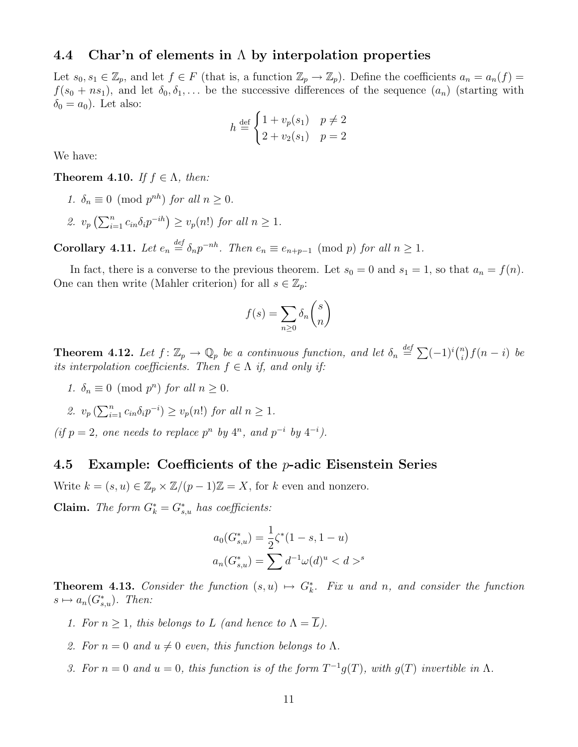#### 4.4 Char'n of elements in  $\Lambda$  by interpolation properties

Let  $s_0, s_1 \in \mathbb{Z}_p$ , and let  $f \in F$  (that is, a function  $\mathbb{Z}_p \to \mathbb{Z}_p$ ). Define the coefficients  $a_n = a_n(f)$  $f(s_0 + ns_1)$ , and let  $\delta_0, \delta_1, \ldots$  be the successive differences of the sequence  $(a_n)$  (starting with  $\delta_0 = a_0$ . Let also:

$$
h \stackrel{\text{def}}{=} \begin{cases} 1 + v_p(s_1) & p \neq 2 \\ 2 + v_2(s_1) & p = 2 \end{cases}
$$

We have:

**Theorem 4.10.** If  $f \in \Lambda$ , then:

1.  $\delta_n \equiv 0 \pmod{p^{nh}}$  for all  $n \geq 0$ . 2.  $v_p\left(\sum_{i=1}^n c_{in}\delta_i p^{-ih}\right) \ge v_p(n!)$  for all  $n \ge 1$ .

**Corollary 4.11.** Let  $e_n \stackrel{\text{def}}{=} \delta_n p^{-nh}$ . Then  $e_n \equiv e_{n+p-1} \pmod{p}$  for all  $n \ge 1$ .

In fact, there is a converse to the previous theorem. Let  $s_0 = 0$  and  $s_1 = 1$ , so that  $a_n = f(n)$ . One can then write (Mahler criterion) for all  $s \in \mathbb{Z}_p$ :

$$
f(s) = \sum_{n \ge 0} \delta_n \binom{s}{n}
$$

**Theorem 4.12.** Let  $f: \mathbb{Z}_p \to \mathbb{Q}_p$  be a continuous function, and let  $\delta_n \stackrel{def}{=} \sum (-1)^i {n \choose i}$  $\binom{n}{i} f(n-i)$  be its interpolation coefficients. Then  $f \in \Lambda$  if, and only if:

- 1.  $\delta_n \equiv 0 \pmod{p^n}$  for all  $n \geq 0$ .
- 2.  $v_p\left(\sum_{i=1}^n c_{in}\delta_i p^{-i}\right) \ge v_p(n!)$  for all  $n \ge 1$ .

(if  $p = 2$ , one needs to replace  $p^n$  by  $4^n$ , and  $p^{-i}$  by  $4^{-i}$ ).

#### 4.5 Example: Coefficients of the  $p$ -adic Eisenstein Series

Write  $k = (s, u) \in \mathbb{Z}_p \times \mathbb{Z}/(p-1)\mathbb{Z} = X$ , for k even and nonzero.

**Claim.** The form  $G_k^* = G_{s,u}^*$  has coefficients:

$$
a_0(G_{s,u}^*) = \frac{1}{2}\zeta^*(1-s, 1-u)
$$
  

$$
a_n(G_{s,u}^*) = \sum d^{-1}\omega(d)^u < d >^s
$$

**Theorem 4.13.** Consider the function  $(s, u) \mapsto G_k^*$ . Fix u and n, and consider the function  $s \mapsto a_n(G_{s,u}^*)$ . Then:

- 1. For  $n \geq 1$ , this belongs to L (and hence to  $\Lambda = \overline{L}$ ).
- 2. For  $n = 0$  and  $u \neq 0$  even, this function belongs to  $\Lambda$ .
- 3. For  $n = 0$  and  $u = 0$ , this function is of the form  $T^{-1}g(T)$ , with  $g(T)$  invertible in  $\Lambda$ .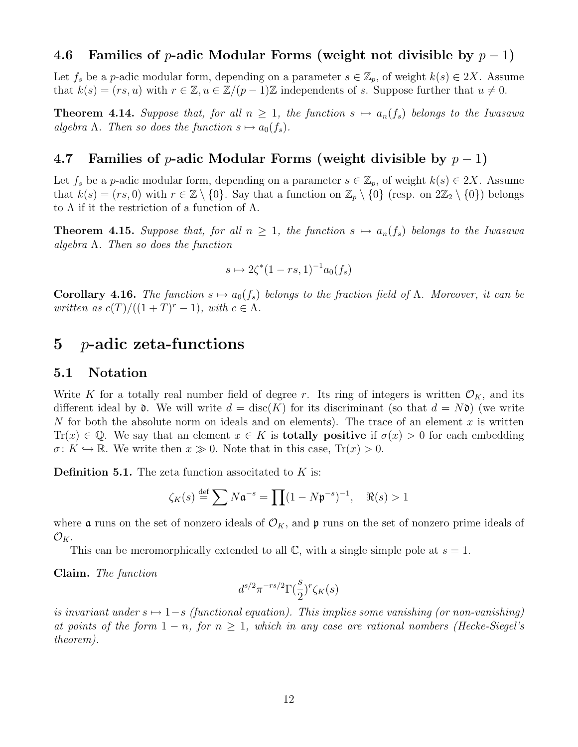### 4.6 Families of p-adic Modular Forms (weight not divisible by  $p-1$ )

Let  $f_s$  be a p-adic modular form, depending on a parameter  $s \in \mathbb{Z}_p$ , of weight  $k(s) \in 2X$ . Assume that  $k(s) = (rs, u)$  with  $r \in \mathbb{Z}, u \in \mathbb{Z}/(p-1)\mathbb{Z}$  independents of s. Suppose further that  $u \neq 0$ .

**Theorem 4.14.** Suppose that, for all  $n \geq 1$ , the function  $s \mapsto a_n(f_s)$  belongs to the Iwasawa algebra  $\Lambda$ . Then so does the function  $s \mapsto a_0(f_s)$ .

### 4.7 Families of p-adic Modular Forms (weight divisible by  $p-1$ )

Let  $f_s$  be a p-adic modular form, depending on a parameter  $s \in \mathbb{Z}_p$ , of weight  $k(s) \in 2X$ . Assume that  $k(s) = (rs, 0)$  with  $r \in \mathbb{Z} \setminus \{0\}$ . Say that a function on  $\mathbb{Z}_p \setminus \{0\}$  (resp. on  $2\mathbb{Z}_2 \setminus \{0\}$ ) belongs to  $\Lambda$  if it the restriction of a function of  $\Lambda$ .

**Theorem 4.15.** Suppose that, for all  $n \geq 1$ , the function  $s \mapsto a_n(f_s)$  belongs to the Iwasawa algebra  $\Lambda$ . Then so does the function

$$
s \mapsto 2\zeta^*(1 - rs, 1)^{-1}a_0(f_s)
$$

**Corollary 4.16.** The function  $s \mapsto a_0(f_s)$  belongs to the fraction field of Λ. Moreover, it can be written as  $c(T)/((1+T)^r-1)$ , with  $c \in \Lambda$ .

# 5 p-adic zeta-functions

#### 5.1 Notation

Write K for a totally real number field of degree r. Its ring of integers is written  $\mathcal{O}_K$ , and its different ideal by  $\mathfrak d$ . We will write  $d = \text{disc}(K)$  for its discriminant (so that  $d = N\mathfrak d$ ) (we write N for both the absolute norm on ideals and on elements). The trace of an element x is written  $\text{Tr}(x) \in \mathbb{Q}$ . We say that an element  $x \in K$  is **totally positive** if  $\sigma(x) > 0$  for each embedding  $\sigma: K \hookrightarrow \mathbb{R}$ . We write then  $x \gg 0$ . Note that in this case,  $Tr(x) > 0$ .

**Definition 5.1.** The zeta function associtated to  $K$  is:

$$
\zeta_K(s) \stackrel{\text{def}}{=} \sum N \mathfrak{a}^{-s} = \prod (1 - N \mathfrak{p}^{-s})^{-1}, \quad \Re(s) > 1
$$

where **a** runs on the set of nonzero ideals of  $\mathcal{O}_K$ , and **p** runs on the set of nonzero prime ideals of  $\mathcal{O}_K$ .

This can be meromorphically extended to all  $\mathbb{C}$ , with a single simple pole at  $s = 1$ .

Claim. The function

$$
d^{s/2}\pi^{-rs/2}\Gamma(\frac{s}{2})^r\zeta_K(s)
$$

is invariant under  $s \mapsto 1-s$  (functional equation). This implies some vanishing (or non-vanishing) at points of the form  $1 - n$ , for  $n \geq 1$ , which in any case are rational nombers (Hecke-Siegel's theorem).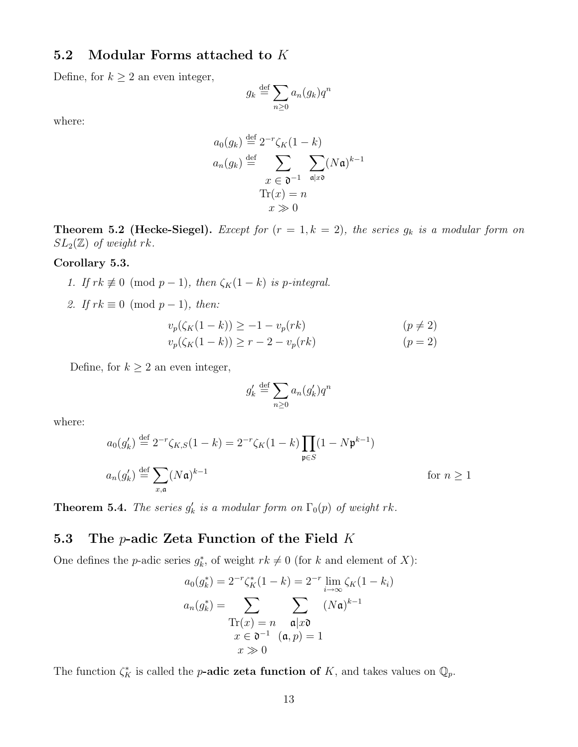### 5.2 Modular Forms attached to K

Define, for  $k \geq 2$  an even integer,

$$
g_k \stackrel{\text{def}}{=} \sum_{n \ge 0} a_n(g_k) q^n
$$

where:

$$
a_0(g_k) \stackrel{\text{def}}{=} 2^{-r} \zeta_K(1 - k)
$$
  
\n
$$
a_n(g_k) \stackrel{\text{def}}{=} \sum_{\substack{x \in \mathfrak{d}^{-1} \\ \text{Tr}(x) = n}} \sum_{\mathfrak{a} \mid x\mathfrak{d}} (N\mathfrak{a})^{k-1}
$$
  
\n
$$
\text{Tr}(x) = n
$$

**Theorem 5.2 (Hecke-Siegel).** Except for  $(r = 1, k = 2)$ , the series  $g_k$  is a modular form on  $SL_2(\mathbb{Z})$  of weight rk.

#### Corollary 5.3.

- 1. If  $rk \not\equiv 0 \pmod{p-1}$ , then  $\zeta_K(1-k)$  is p-integral.
- 2. If  $rk \equiv 0 \pmod{p-1}$ , then:

$$
v_p(\zeta_K(1-k)) \ge -1 - v_p(rk)
$$
  
\n
$$
v_p(\zeta_K(1-k)) \ge r - 2 - v_p(rk)
$$
  
\n
$$
(p \ne 2)
$$
  
\n
$$
(p = 2)
$$

Define, for  $k \geq 2$  an even integer,

$$
g'_k \stackrel{\text{def}}{=} \sum_{n \ge 0} a_n(g'_k) q^n
$$

where:

$$
a_0(g'_k) \stackrel{\text{def}}{=} 2^{-r} \zeta_{K,S}(1-k) = 2^{-r} \zeta_K(1-k) \prod_{\mathfrak{p} \in S} (1 - N \mathfrak{p}^{k-1})
$$
  

$$
a_n(g'_k) \stackrel{\text{def}}{=} \sum_{x,\mathfrak{a}} (N\mathfrak{a})^{k-1} \qquad \text{for } n \ge 1
$$

**Theorem 5.4.** The series  $g'_k$  is a modular form on  $\Gamma_0(p)$  of weight rk.

### 5.3 The  $p$ -adic Zeta Function of the Field K

One defines the *p*-adic series  $g_k^*$ , of weight  $rk \neq 0$  (for k and element of X):

$$
a_0(g_k^*) = 2^{-r} \zeta_K^*(1-k) = 2^{-r} \lim_{i \to \infty} \zeta_K(1-k_i)
$$

$$
a_n(g_k^*) = \sum_{\substack{\text{Tr}(x) = n \\ x \in \mathfrak{d}^{-1} \\ x \gg 0}} \sum_{\substack{\mathfrak{a} \mid x\mathfrak{d} \\ (\mathfrak{a}, p) = 1}} (N\mathfrak{a})^{k-1}
$$

The function  $\zeta_K^*$  is called the *p*-adic zeta function of K, and takes values on  $\mathbb{Q}_p$ .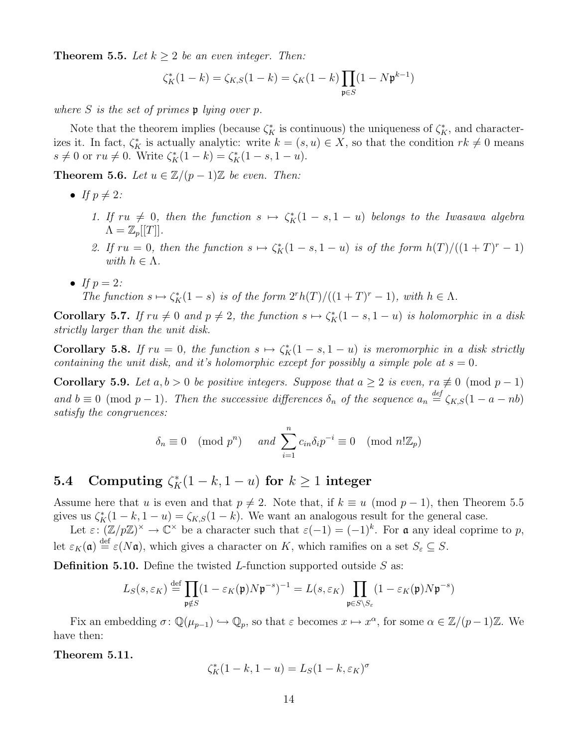**Theorem 5.5.** Let  $k \geq 2$  be an even integer. Then:

$$
\zeta_K^*(1-k) = \zeta_{K,S}(1-k) = \zeta_K(1-k) \prod_{\mathfrak{p} \in S} (1-N\mathfrak{p}^{k-1})
$$

where S is the set of primes  $\mathfrak p$  lying over p.

Note that the theorem implies (because  $\zeta_K^*$  is continuous) the uniqueness of  $\zeta_K^*$ , and characterizes it. In fact,  $\zeta_K^*$  is actually analytic: write  $k = (s, u) \in X$ , so that the condition  $rk \neq 0$  means  $s \neq 0$  or  $ru \neq 0$ . Write  $\zeta_K^*(1-k) = \zeta_K^*(1-s, 1-u)$ .

Theorem 5.6. Let  $u \in \mathbb{Z}/(p-1)\mathbb{Z}$  be even. Then:

- If  $p \neq 2$ :
	- 1. If  $ru \neq 0$ , then the function  $s \mapsto \zeta_K^*(1-s, 1-u)$  belongs to the Iwasawa algebra  $\Lambda = \mathbb{Z}_p[[T]]$ .
	- 2. If  $ru = 0$ , then the function  $s \mapsto \zeta_K^*(1 s, 1 u)$  is of the form  $h(T)/((1 + T)^r 1)$ with  $h \in \Lambda$ .
- If  $p = 2$ : The function  $s \mapsto \zeta_K^*(1-s)$  is of the form  $2^rh(T)/((1+T)^r-1)$ , with  $h \in \Lambda$ .

**Corollary 5.7.** If  $ru \neq 0$  and  $p \neq 2$ , the function  $s \mapsto \zeta_K^*(1-s, 1-u)$  is holomorphic in a disk strictly larger than the unit disk.

**Corollary 5.8.** If  $ru = 0$ , the function  $s \mapsto \zeta_K^*(1 - s, 1 - u)$  is meromorphic in a disk strictly containing the unit disk, and it's holomorphic except for possibly a simple pole at  $s = 0$ .

Corollary 5.9. Let  $a, b > 0$  be positive integers. Suppose that  $a \geq 2$  is even,  $ra \not\equiv 0 \pmod{p-1}$ and  $b \equiv 0 \pmod{p-1}$ . Then the successive differences  $\delta_n$  of the sequence  $a_n \stackrel{\text{def}}{=} \zeta_{K,S}(1-a-nb)$ satisfy the congruences:

$$
\delta_n \equiv 0 \pmod{p^n} \quad \text{and } \sum_{i=1}^n c_{in} \delta_i p^{-i} \equiv 0 \pmod{n! \mathbb{Z}_p}
$$

# **5.4** Computing  $\zeta_K^*(1-k, 1-u)$  for  $k \ge 1$  integer

Assume here that u is even and that  $p \neq 2$ . Note that, if  $k \equiv u \pmod{p-1}$ , then Theorem 5.5 gives us  $\zeta_K^*(1-k, 1-u) = \zeta_{K,S}(1-k)$ . We want an analogous result for the general case.

Let  $\varepsilon: (\mathbb{Z}/p\mathbb{Z})^{\times} \to \mathbb{C}^{\times}$  be a character such that  $\varepsilon(-1) = (-1)^{k}$ . For **a** any ideal coprime to p, let  $\varepsilon_K(\mathfrak{a}) \stackrel{\text{def}}{=} \varepsilon(N\mathfrak{a})$ , which gives a character on K, which ramifies on a set  $S_{\varepsilon} \subseteq S$ .

**Definition 5.10.** Define the twisted L-function supported outside  $S$  as:

$$
L_S(s, \varepsilon_K) \stackrel{\text{def}}{=} \prod_{\mathfrak{p} \notin S} (1 - \varepsilon_K(\mathfrak{p}) N \mathfrak{p}^{-s})^{-1} = L(s, \varepsilon_K) \prod_{\mathfrak{p} \in S \setminus S_{\varepsilon}} (1 - \varepsilon_K(\mathfrak{p}) N \mathfrak{p}^{-s})
$$

Fix an embedding  $\sigma: \mathbb{Q}(\mu_{p-1}) \hookrightarrow \mathbb{Q}_p$ , so that  $\varepsilon$  becomes  $x \mapsto x^{\alpha}$ , for some  $\alpha \in \mathbb{Z}/(p-1)\mathbb{Z}$ . We have then:

Theorem 5.11.

$$
\zeta_K^*(1-k, 1-u) = L_S(1-k, \varepsilon_K)^\sigma
$$